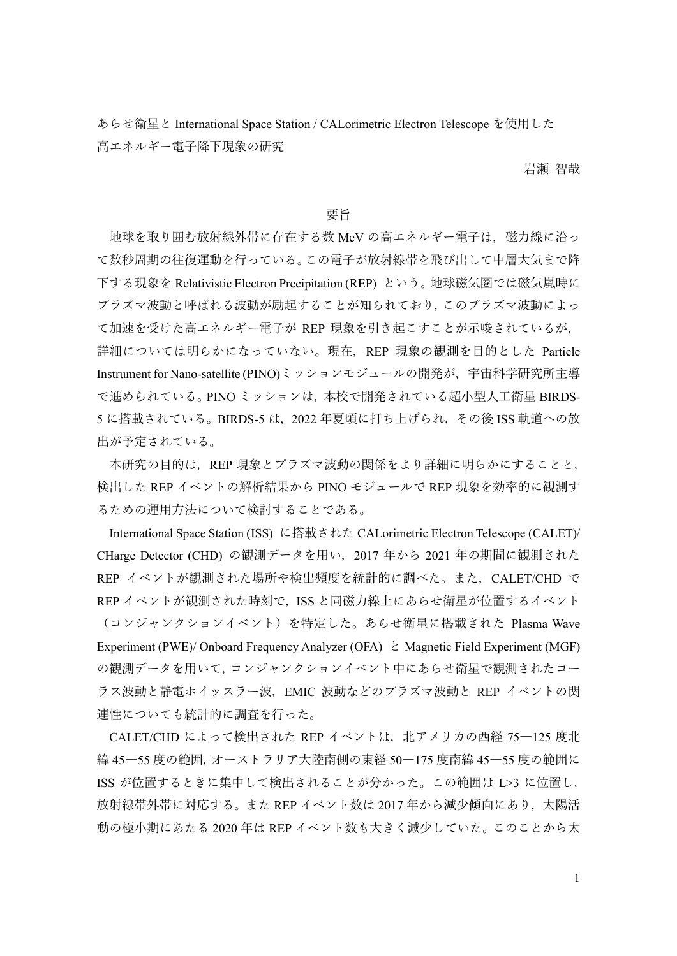あらせ衛星と International Space Station / CALorimetric Electron Telescope を使用した 高エネルギー電子降下現象の研究

岩瀬 智哉

## 要旨

地球を取り囲む放射線外帯に存在する数 MeV の高エネルギー電子は,磁力線に沿っ て数秒周期の往復運動を行っている。この電子が放射線帯を飛び出して中層大気まで降 下する現象を Relativistic Electron Precipitation (REP) という。地球磁気圏では磁気嵐時に プラズマ波動と呼ばれる波動が励起することが知られており,このプラズマ波動によっ て加速を受けた高エネルギー電子が REP 現象を引き起こすことが示唆されているが, 詳細については明らかになっていない。現在,REP 現象の観測を目的とした Particle Instrument for Nano-satellite (PINO)ミッションモジュールの開発が、宇宙科学研究所主導 で進められている。PINO ミッションは,本校で開発されている超小型人工衛星 BIRDS-5 に搭載されている。BIRDS-5 は,2022 年夏頃に打ち上げられ,その後 ISS 軌道への放 出が予定されている。

本研究の目的は、REP 現象とプラズマ波動の関係をより詳細に明らかにすることと, 検出した REP イベントの解析結果から PINO モジュールで REP 現象を効率的に観測す るための運用方法について検討することである。

International Space Station (ISS) に搭載された CALorimetric Electron Telescope (CALET)/ CHarge Detector (CHD) の観測データを用い,2017 年から 2021 年の期間に観測された REP イベントが観測された場所や検出頻度を統計的に調べた。また,CALET/CHD で REP イベントが観測された時刻で, ISS と同磁力線上にあらせ衛星が位置するイベント (コンジャンクションイベント)を特定した。あらせ衛星に搭載された Plasma Wave Experiment (PWE)/ Onboard Frequency Analyzer (OFA) と Magnetic Field Experiment (MGF) の観測データを用いて,コンジャンクションイベント中にあらせ衛星で観測されたコー ラス波動と静電ホイッスラー波,EMIC 波動などのプラズマ波動と REP イベントの関 連性についても統計的に調査を行った。

CALET/CHD によって検出された REP イベントは,北アメリカの西経 75―125 度北 緯 45―55 度の範囲,オーストラリア大陸南側の東経 50―175 度南緯 45―55 度の範囲に ISS が位置するときに集中して検出されることが分かった。この範囲は L>3 に位置し, 放射線帯外帯に対応する。また REP イベント数は 2017 年から減少傾向にあり, 太陽活 動の極小期にあたる 2020 年は REP イベント数も大きく減少していた。このことから太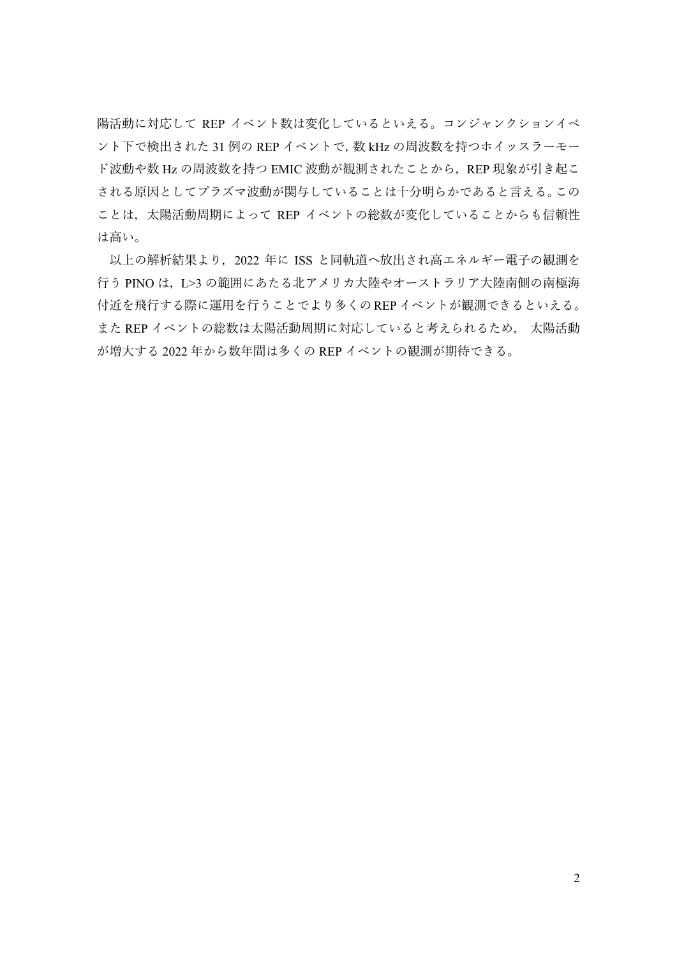陽活動に対応して REP イベント数は変化しているといえる。コンジャンクションイベ ント下で検出された 31 例の REP イベントで,数 kHz の周波数を持つホイッスラーモー ド波動や数 Hz の周波数を持つ EMIC 波動が観測されたことから,REP 現象が引き起こ される原因としてプラズマ波動が関与していることは十分明らかであると言える。この ことは、太陽活動周期によって REP イベントの総数が変化していることからも信頼性 は高い。

以上の解析結果より,2022 年に ISS と同軌道へ放出され高エネルギー電子の観測を 行う PINO は, L>3 の範囲にあたる北アメリカ大陸やオーストラリア大陸南側の南極海 付近を飛行する際に運用を行うことでより多くのREPイベントが観測できるといえる。 また REP イベントの総数は太陽活動周期に対応していると考えられるため, 太陽活動 が増大する 2022 年から数年間は多くの REP イベントの観測が期待できる。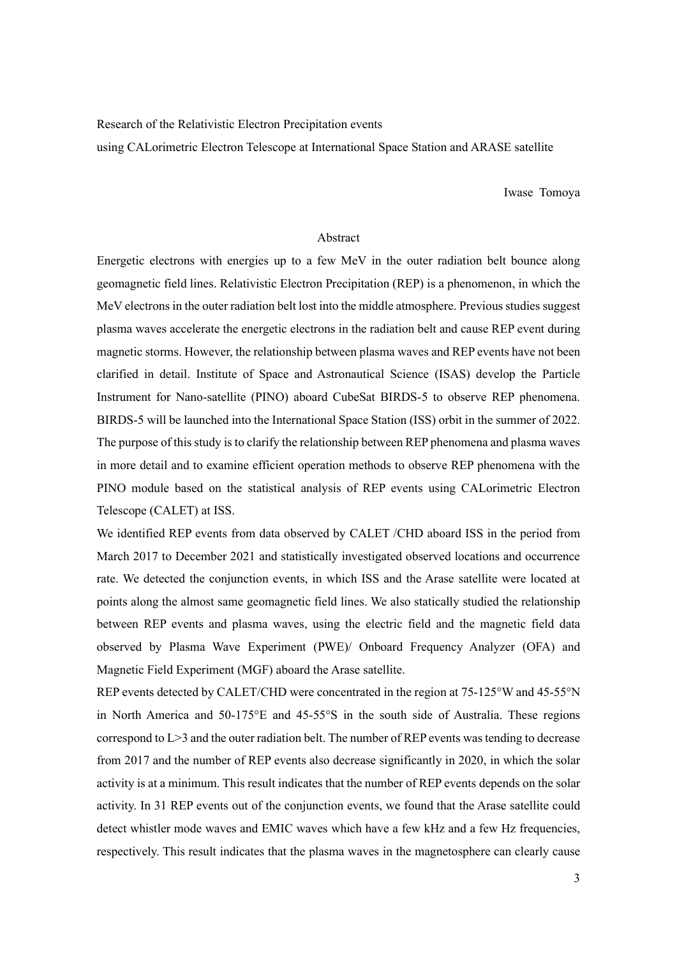Research of the Relativistic Electron Precipitation events

using CALorimetric Electron Telescope at International Space Station and ARASE satellite

Iwase Tomoya

## Abstract

Energetic electrons with energies up to a few MeV in the outer radiation belt bounce along geomagnetic field lines. Relativistic Electron Precipitation (REP) is a phenomenon, in which the MeV electrons in the outer radiation belt lost into the middle atmosphere. Previous studies suggest plasma waves accelerate the energetic electrons in the radiation belt and cause REP event during magnetic storms. However, the relationship between plasma waves and REP events have not been clarified in detail. Institute of Space and Astronautical Science (ISAS) develop the Particle Instrument for Nano-satellite (PINO) aboard CubeSat BIRDS-5 to observe REP phenomena. BIRDS-5 will be launched into the International Space Station (ISS) orbit in the summer of 2022. The purpose of this study is to clarify the relationship between REP phenomena and plasma waves in more detail and to examine efficient operation methods to observe REP phenomena with the PINO module based on the statistical analysis of REP events using CALorimetric Electron Telescope (CALET) at ISS.

We identified REP events from data observed by CALET /CHD aboard ISS in the period from March 2017 to December 2021 and statistically investigated observed locations and occurrence rate. We detected the conjunction events, in which ISS and the Arase satellite were located at points along the almost same geomagnetic field lines. We also statically studied the relationship between REP events and plasma waves, using the electric field and the magnetic field data observed by Plasma Wave Experiment (PWE)/ Onboard Frequency Analyzer (OFA) and Magnetic Field Experiment (MGF) aboard the Arase satellite.

REP events detected by CALET/CHD were concentrated in the region at 75-125°W and 45-55°N in North America and 50-175°E and 45-55°S in the south side of Australia. These regions correspond to L>3 and the outer radiation belt. The number of REP events was tending to decrease from 2017 and the number of REP events also decrease significantly in 2020, in which the solar activity is at a minimum. This result indicates that the number of REP events depends on the solar activity. In 31 REP events out of the conjunction events, we found that the Arase satellite could detect whistler mode waves and EMIC waves which have a few kHz and a few Hz frequencies, respectively. This result indicates that the plasma waves in the magnetosphere can clearly cause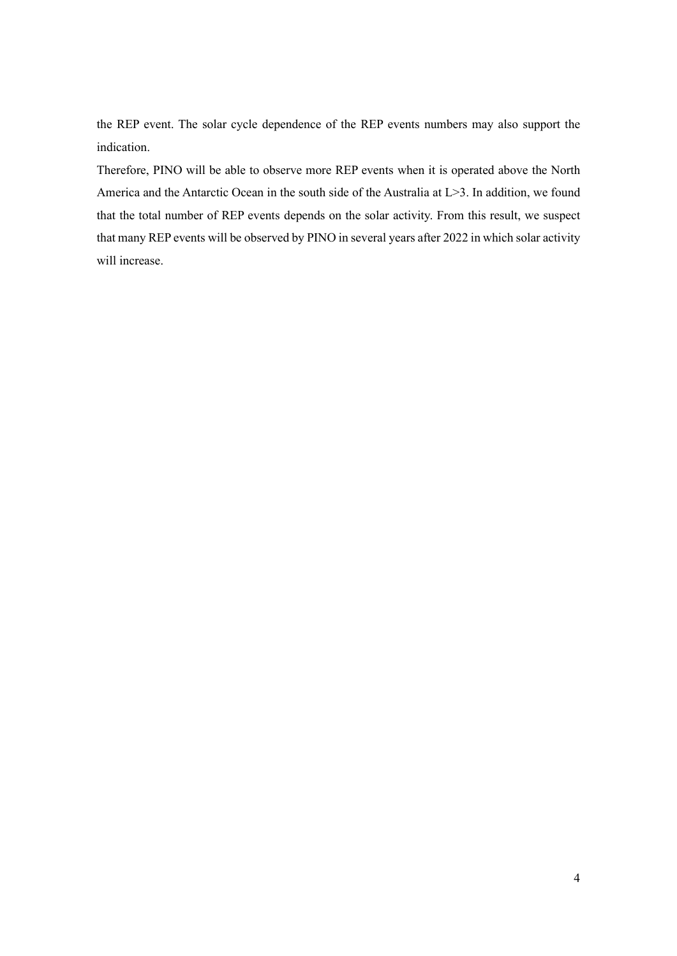the REP event. The solar cycle dependence of the REP events numbers may also support the indication.

Therefore, PINO will be able to observe more REP events when it is operated above the North America and the Antarctic Ocean in the south side of the Australia at L>3. In addition, we found that the total number of REP events depends on the solar activity. From this result, we suspect that many REP events will be observed by PINO in several years after 2022 in which solar activity will increase.